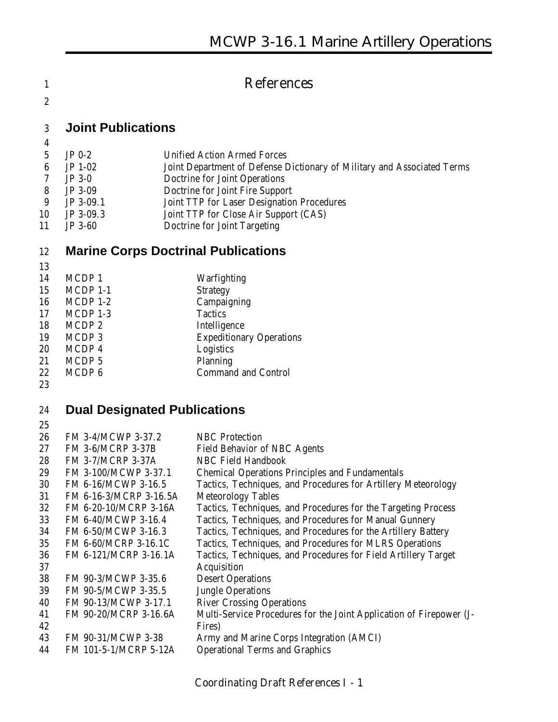### **References**

#### **Joint Publications**

- JP 0-2 Unified Action Armed Forces
- JP 1-02 Joint Department of Defense Dictionary of Military and Associated Terms
- JP 3-0 Doctrine for Joint Operations
- JP 3-09 Doctrine for Joint Fire Support
- JP 3-09.1 Joint TTP for Laser Designation Procedures
- JP 3-09.3 Joint TTP for Close Air Support (CAS)
- JP 3-60 Doctrine for Joint Targeting

#### **Marine Corps Doctrinal Publications**

| .  |                   |                                 |
|----|-------------------|---------------------------------|
| 14 | MCDP <sub>1</sub> | Warfighting                     |
| 15 | MCDP 1-1          | <b>Strategy</b>                 |
| 16 | $MCDP$ 1-2        | Campaigning                     |
| 17 | MCDP 1-3          | <b>Tactics</b>                  |
| 18 | MCDP <sub>2</sub> | Intelligence                    |
| 19 | MCDP <sub>3</sub> | <b>Expeditionary Operations</b> |
| 20 | MCDP 4            | Logistics                       |
| 21 | MCDP <sub>5</sub> | Planning                        |
| 22 | MCDP <sub>6</sub> | <b>Command and Control</b>      |
|    |                   |                                 |

#### **Dual Designated Publications**

| 26 | FM 3-4/MCWP 3-37.2       | <b>NBC</b> Protection                                               |
|----|--------------------------|---------------------------------------------------------------------|
| 27 | <b>FM 3-6/MCRP 3-37B</b> | <b>Field Behavior of NBC Agents</b>                                 |
| 28 | <b>FM 3-7/MCRP 3-37A</b> | <b>NBC Field Handbook</b>                                           |
| 29 | FM 3-100/MCWP 3-37.1     | <b>Chemical Operations Principles and Fundamentals</b>              |
| 30 | FM 6-16/MCWP 3-16.5      | Tactics, Techniques, and Procedures for Artillery Meteorology       |
| 31 | FM 6-16-3/MCRP 3-16.5A   | <b>Meteorology Tables</b>                                           |
| 32 | FM 6-20-10/MCRP 3-16A    | Tactics, Techniques, and Procedures for the Targeting Process       |
| 33 | FM 6-40/MCWP 3-16.4      | Tactics, Techniques, and Procedures for Manual Gunnery              |
| 34 | FM 6-50/MCWP 3-16.3      | Tactics, Techniques, and Procedures for the Artillery Battery       |
| 35 | FM 6-60/MCRP 3-16.1C     | Tactics, Techniques, and Procedures for MLRS Operations             |
| 36 | FM 6-121/MCRP 3-16.1A    | Tactics, Techniques, and Procedures for Field Artillery Target      |
| 37 |                          | Acquisition                                                         |
| 38 | FM 90-3/MCWP 3-35.6      | <b>Desert Operations</b>                                            |
| 39 | FM 90-5/MCWP 3-35.5      | <b>Jungle Operations</b>                                            |
| 40 | FM 90-13/MCWP 3-17.1     | <b>River Crossing Operations</b>                                    |
| 41 | FM 90-20/MCRP 3-16.6A    | Multi-Service Procedures for the Joint Application of Firepower (J- |
| 42 |                          | Fires)                                                              |
| 43 | FM 90-31/MCWP 3-38       | Army and Marine Corps Integration (AMCI)                            |
| 44 | FM 101-5-1/MCRP 5-12A    | <b>Operational Terms and Graphics</b>                               |
|    |                          |                                                                     |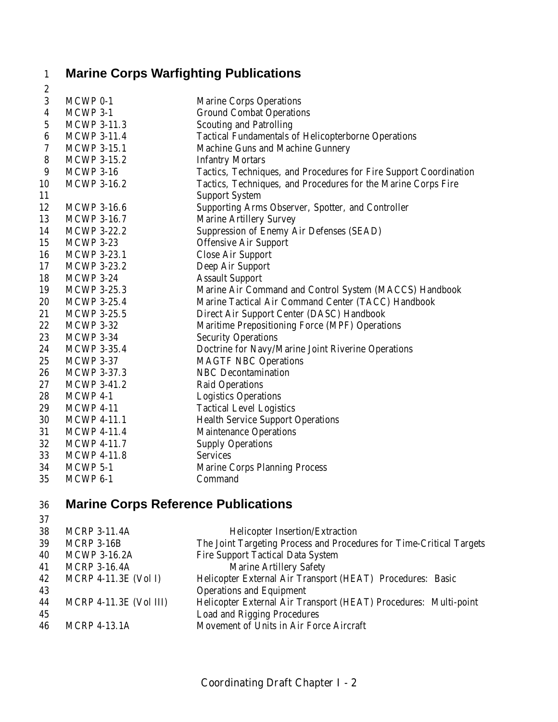# **Marine Corps Warfighting Publications**

| $\boldsymbol{2}$ |                     |                                                                   |
|------------------|---------------------|-------------------------------------------------------------------|
| 3                | MCWP 0-1            | <b>Marine Corps Operations</b>                                    |
| $\overline{4}$   | MCWP 3-1            | <b>Ground Combat Operations</b>                                   |
| $\sqrt{5}$       | <b>MCWP 3-11.3</b>  | <b>Scouting and Patrolling</b>                                    |
| $\boldsymbol{6}$ | <b>MCWP 3-11.4</b>  | <b>Tactical Fundamentals of Helicopterborne Operations</b>        |
| 7                | <b>MCWP 3-15.1</b>  | Machine Guns and Machine Gunnery                                  |
| $\bf 8$          | <b>MCWP 3-15.2</b>  | <b>Infantry Mortars</b>                                           |
| 9                | <b>MCWP 3-16</b>    | Tactics, Techniques, and Procedures for Fire Support Coordination |
| 10               | <b>MCWP 3-16.2</b>  | Tactics, Techniques, and Procedures for the Marine Corps Fire     |
| 11               |                     | <b>Support System</b>                                             |
| 12               | <b>MCWP 3-16.6</b>  | Supporting Arms Observer, Spotter, and Controller                 |
| 13               | <b>MCWP 3-16.7</b>  | <b>Marine Artillery Survey</b>                                    |
| 14               | <b>MCWP 3-22.2</b>  | <b>Suppression of Enemy Air Defenses (SEAD)</b>                   |
| 15               | <b>MCWP 3-23</b>    | <b>Offensive Air Support</b>                                      |
| 16               | <b>MCWP 3-23.1</b>  | <b>Close Air Support</b>                                          |
| 17               | <b>MCWP 3-23.2</b>  | Deep Air Support                                                  |
| 18               | <b>MCWP 3-24</b>    | <b>Assault Support</b>                                            |
| 19               | <b>MCWP 3-25.3</b>  | Marine Air Command and Control System (MACCS) Handbook            |
| 20               | <b>MCWP 3-25.4</b>  | Marine Tactical Air Command Center (TACC) Handbook                |
| 21               | <b>MCWP 3-25.5</b>  | Direct Air Support Center (DASC) Handbook                         |
| 22               | <b>MCWP 3-32</b>    | Maritime Prepositioning Force (MPF) Operations                    |
| 23               | <b>MCWP 3-34</b>    | <b>Security Operations</b>                                        |
| 24               | <b>MCWP 3-35.4</b>  | Doctrine for Navy/Marine Joint Riverine Operations                |
| 25               | <b>MCWP 3-37</b>    | <b>MAGTF NBC Operations</b>                                       |
| 26               | <b>MCWP 3-37.3</b>  | <b>NBC</b> Decontamination                                        |
| 27               | <b>MCWP 3-41.2</b>  | <b>Raid Operations</b>                                            |
| 28               | MCWP 4-1            | <b>Logistics Operations</b>                                       |
| 29               | <b>MCWP 4-11</b>    | <b>Tactical Level Logistics</b>                                   |
| 30               | <b>MCWP 4-11.1</b>  | <b>Health Service Support Operations</b>                          |
| 31               | <b>MCWP 4-11.4</b>  | <b>Maintenance Operations</b>                                     |
| 32               | <b>MCWP 4-11.7</b>  | <b>Supply Operations</b>                                          |
| 33               | <b>MCWP 4-11.8</b>  | <b>Services</b>                                                   |
| 34               | MCWP 5-1            | <b>Marine Corps Planning Process</b>                              |
| 35               | MCWP <sub>6-1</sub> | Command                                                           |

## **Marine Corps Reference Publications**

| 38 | <b>MCRP 3-11.4A</b>           | <b>Helicopter Insertion/Extraction</b>                               |
|----|-------------------------------|----------------------------------------------------------------------|
| 39 | <b>MCRP 3-16B</b>             | The Joint Targeting Process and Procedures for Time-Critical Targets |
| 40 | <b>MCWP 3-16.2A</b>           | <b>Fire Support Tactical Data System</b>                             |
| 41 | <b>MCRP 3-16.4A</b>           | <b>Marine Artillery Safety</b>                                       |
| 42 | MCRP $4-11.3E$ (Vol I)        | Helicopter External Air Transport (HEAT) Procedures: Basic           |
| 43 |                               | <b>Operations and Equipment</b>                                      |
| 44 | <b>MCRP 4-11.3E (Vol III)</b> | Helicopter External Air Transport (HEAT) Procedures: Multi-point     |
| 45 |                               | <b>Load and Rigging Procedures</b>                                   |
| 46 | <b>MCRP 4-13.1A</b>           | Movement of Units in Air Force Aircraft                              |
|    |                               |                                                                      |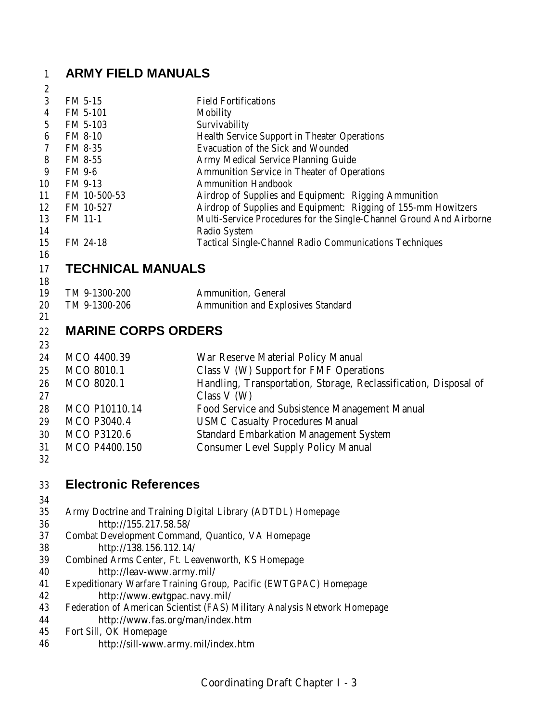# **ARMY FIELD MANUALS**

| $\boldsymbol{2}$ |                                                    |                                                                                            |
|------------------|----------------------------------------------------|--------------------------------------------------------------------------------------------|
| $\sqrt{3}$       | FM 5-15                                            | <b>Field Fortifications</b>                                                                |
| $\boldsymbol{4}$ | FM 5-101                                           | <b>Mobility</b>                                                                            |
| $\mathbf 5$      | FM 5-103                                           | Survivability                                                                              |
| $\boldsymbol{6}$ | <b>FM 8-10</b>                                     | <b>Health Service Support in Theater Operations</b>                                        |
| 7                | FM 8-35                                            | Evacuation of the Sick and Wounded                                                         |
| 8                | FM 8-55                                            | Army Medical Service Planning Guide                                                        |
| 9                | FM 9-6                                             | <b>Ammunition Service in Theater of Operations</b>                                         |
| 10               | FM 9-13                                            | <b>Ammunition Handbook</b>                                                                 |
| 11               | FM 10-500-53                                       | Airdrop of Supplies and Equipment: Rigging Ammunition                                      |
| 12               | FM 10-527                                          | Airdrop of Supplies and Equipment: Rigging of 155-mm Howitzers                             |
| 13<br>14         | FM 11-1                                            | Multi-Service Procedures for the Single-Channel Ground And Airborne<br><b>Radio System</b> |
| 15               | FM 24-18                                           | <b>Tactical Single-Channel Radio Communications Techniques</b>                             |
| 16<br>17         | <b>TECHNICAL MANUALS</b>                           |                                                                                            |
| 18               |                                                    |                                                                                            |
| 19               | TM 9-1300-200                                      | Ammunition, General                                                                        |
| 20               | TM 9-1300-206                                      | <b>Ammunition and Explosives Standard</b>                                                  |
| 21               |                                                    |                                                                                            |
| 22               | <b>MARINE CORPS ORDERS</b>                         |                                                                                            |
| 23               |                                                    |                                                                                            |
| 24               | MCO 4400.39                                        | War Reserve Material Policy Manual                                                         |
| 25               | MCO 8010.1                                         | Class V (W) Support for FMF Operations                                                     |
| 26               | MCO 8020.1                                         | Handling, Transportation, Storage, Reclassification, Disposal of                           |
| 27               |                                                    | Class $V(W)$                                                                               |
| 28               | <b>MCO P10110.14</b>                               | Food Service and Subsistence Management Manual                                             |
| 29               | <b>MCO P3040.4</b>                                 | <b>USMC Casualty Procedures Manual</b>                                                     |
| 30               | <b>MCO P3120.6</b>                                 | <b>Standard Embarkation Management System</b>                                              |
| 31               | MCO P4400.150                                      | <b>Consumer Level Supply Policy Manual</b>                                                 |
| 32               |                                                    |                                                                                            |
| 33               | <b>Electronic References</b>                       |                                                                                            |
|                  |                                                    |                                                                                            |
| 34<br>35         |                                                    |                                                                                            |
| 36               | http://155.217.58.58/                              | Army Doctrine and Training Digital Library (ADTDL) Homepage                                |
| 37               | Combat Development Command, Quantico, VA Homepage  |                                                                                            |
| 38               | http://138.156.112.14/                             |                                                                                            |
| 39               | Combined Arms Center, Ft. Leavenworth, KS Homepage |                                                                                            |
| 40               | http://leav-www.army.mil/                          |                                                                                            |
| 41               |                                                    | Expeditionary Warfare Training Group, Pacific (EWTGPAC) Homepage                           |
| 42               | http://www.ewtgpac.navy.mil/                       |                                                                                            |
| 43               |                                                    | Federation of American Scientist (FAS) Military Analysis Network Homepage                  |
| 44               | http://www.fas.org/man/index.htm                   |                                                                                            |
| 45               | Fort Sill, OK Homepage                             |                                                                                            |
| 46               | http://sill-www.army.mil/index.htm                 |                                                                                            |
|                  |                                                    |                                                                                            |